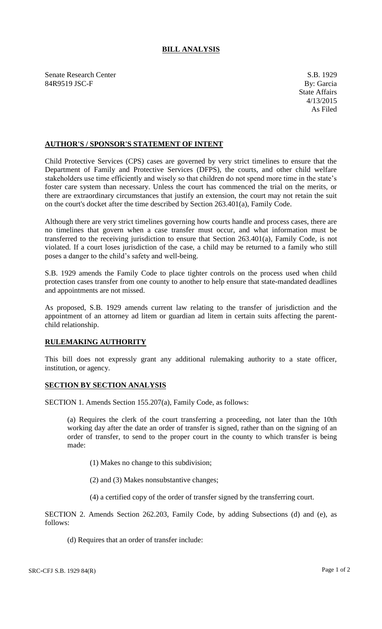## **BILL ANALYSIS**

Senate Research Center S.B. 1929 84R9519 JSC-F By: Garcia

## **AUTHOR'S / SPONSOR'S STATEMENT OF INTENT**

Child Protective Services (CPS) cases are governed by very strict timelines to ensure that the Department of Family and Protective Services (DFPS), the courts, and other child welfare stakeholders use time efficiently and wisely so that children do not spend more time in the state's foster care system than necessary. Unless the court has commenced the trial on the merits, or there are extraordinary circumstances that justify an extension, the court may not retain the suit on the court's docket after the time described by Section 263.401(a), Family Code.

Although there are very strict timelines governing how courts handle and process cases, there are no timelines that govern when a case transfer must occur, and what information must be transferred to the receiving jurisdiction to ensure that Section 263.401(a), Family Code, is not violated. If a court loses jurisdiction of the case, a child may be returned to a family who still poses a danger to the child's safety and well-being.

S.B. 1929 amends the Family Code to place tighter controls on the process used when child protection cases transfer from one county to another to help ensure that state-mandated deadlines and appointments are not missed.

As proposed, S.B. 1929 amends current law relating to the transfer of jurisdiction and the appointment of an attorney ad litem or guardian ad litem in certain suits affecting the parentchild relationship.

## **RULEMAKING AUTHORITY**

This bill does not expressly grant any additional rulemaking authority to a state officer, institution, or agency.

## **SECTION BY SECTION ANALYSIS**

SECTION 1. Amends Section 155.207(a), Family Code, as follows:

(a) Requires the clerk of the court transferring a proceeding, not later than the 10th working day after the date an order of transfer is signed, rather than on the signing of an order of transfer, to send to the proper court in the county to which transfer is being made:

(1) Makes no change to this subdivision;

- (2) and (3) Makes nonsubstantive changes;
- (4) a certified copy of the order of transfer signed by the transferring court.

SECTION 2. Amends Section 262.203, Family Code, by adding Subsections (d) and (e), as follows:

(d) Requires that an order of transfer include: